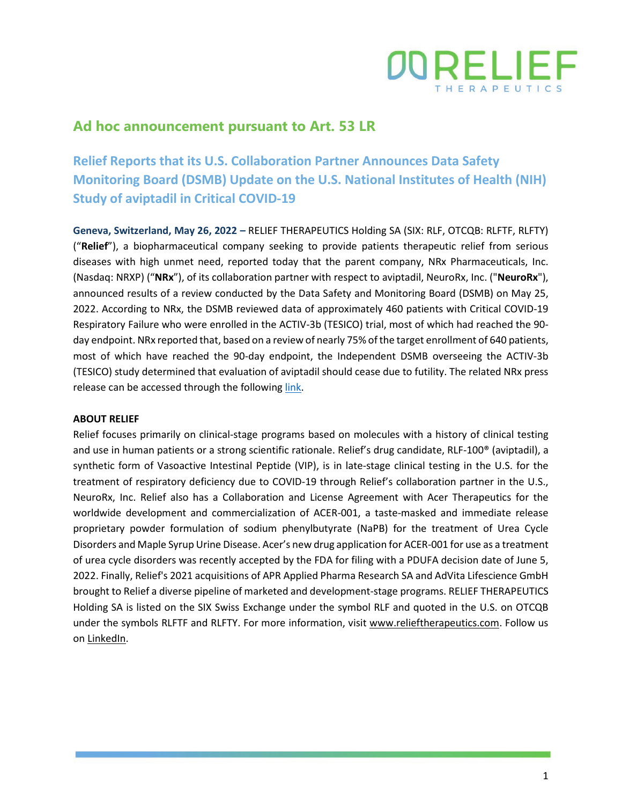

## **Ad hoc announcement pursuant to Art. 53 LR**

**Relief Reports that its U.S. Collaboration Partner Announces Data Safety Monitoring Board (DSMB) Update on the U.S. National Institutes of Health (NIH) Study of aviptadil in Critical COVID-19**

**Geneva, Switzerland, May 26, 2022 –** RELIEF THERAPEUTICS Holding SA (SIX: RLF, OTCQB: RLFTF, RLFTY) ("**Relief**"), a biopharmaceutical company seeking to provide patients therapeutic relief from serious diseases with high unmet need, reported today that the parent company, NRx Pharmaceuticals, Inc. (Nasdaq: NRXP) ("**NRx**"), of its collaboration partner with respect to aviptadil, NeuroRx, Inc. ("**NeuroRx**"), announced results of a review conducted by the Data Safety and Monitoring Board (DSMB) on May 25, 2022. According to NRx, the DSMB reviewed data of approximately 460 patients with Critical COVID-19 Respiratory Failure who were enrolled in the ACTIV-3b (TESICO) trial, most of which had reached the 90 day endpoint. NRx reported that, based on a review of nearly 75% of the target enrollment of 640 patients, most of which have reached the 90-day endpoint, the Independent DSMB overseeing the ACTIV-3b (TESICO) study determined that evaluation of aviptadil should cease due to futility. The related NRx press release can be accessed through the followin[g link.](https://www.prnewswire.com/news-releases/nrx-pharmaceuticals-announces-data-safety-monitoring-board-dsmb-update-on-us-national-institutes-of-health-nih-study-of-zyesami-aviptadil-in-critical-covid-19-301555549.html)

## **ABOUT RELIEF**

Relief focuses primarily on clinical-stage programs based on molecules with a history of clinical testing and use in human patients or a strong scientific rationale. Relief's drug candidate, RLF-100® (aviptadil), a synthetic form of Vasoactive Intestinal Peptide (VIP), is in late-stage clinical testing in the U.S. for the treatment of respiratory deficiency due to COVID-19 through Relief's collaboration partner in the U.S., NeuroRx, Inc. Relief also has a Collaboration and License Agreement with Acer Therapeutics for the worldwide development and commercialization of ACER-001, a taste-masked and immediate release proprietary powder formulation of sodium phenylbutyrate (NaPB) for the treatment of Urea Cycle Disorders and Maple Syrup Urine Disease. Acer's new drug application for ACER-001 for use as a treatment of urea cycle disorders was recently accepted by the FDA for filing with a PDUFA decision date of June 5, 2022. Finally, Relief's 2021 acquisitions of APR Applied Pharma Research SA and AdVita Lifescience GmbH brought to Relief a diverse pipeline of marketed and development-stage programs. RELIEF THERAPEUTICS Holding SA is listed on the SIX Swiss Exchange under the symbol RLF and quoted in the U.S. on OTCQB under the symbols RLFTF and RLFTY. For more information, visit [www.relieftherapeutics.com.](http://www.relieftherapeutics.com/) Follow us on [LinkedIn.](https://www.linkedin.com/company/relief-therapeutics-holding-sa/)